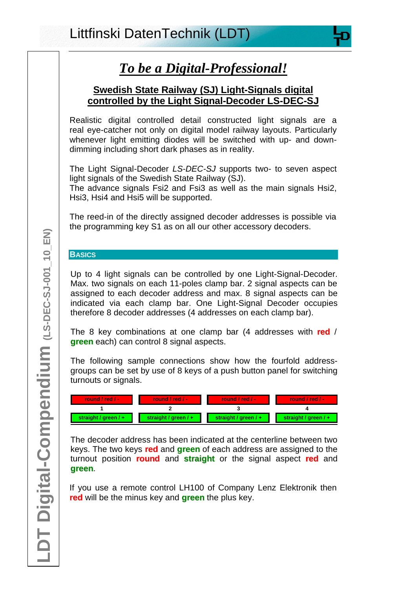# *To be a Digital-Professional!*

# **Swedish State Railway (SJ) Light-Signals digital controlled by the Light Signal-Decoder LS-DEC-SJ**

Realistic digital controlled detail constructed light signals are a real eye-catcher not only on digital model railway layouts. Particularly whenever light emitting diodes will be switched with up- and downdimming including short dark phases as in reality.

The Light Signal-Decoder *LS-DEC-SJ* supports two- to seven aspect light signals of the Swedish State Railway (SJ).

The advance signals Fsi2 and Fsi3 as well as the main signals Hsi2, Hsi3, Hsi4 and Hsi5 will be supported.

The reed-in of the directly assigned decoder addresses is possible via the programming key S1 as on all our other accessory decoders.

## **BASICS**

Up to 4 light signals can be controlled by one Light-Signal-Decoder. Max. two signals on each 11-poles clamp bar. 2 signal aspects can be assigned to each decoder address and max. 8 signal aspects can be indicated via each clamp bar. One Light-Signal Decoder occupies therefore 8 decoder addresses (4 addresses on each clamp bar).

The 8 key combinations at one clamp bar (4 addresses with **red** / **green** each) can control 8 signal aspects.

The following sample connections show how the fourfold addressgroups can be set by use of 8 keys of a push button panel for switching turnouts or signals.

| <b>Tound</b> / red / - | <b>Tound</b> / red $/ - \sqrt{}$ | <b>Tound</b> / red $/ -$ | <b>Tound / red / -</b> |
|------------------------|----------------------------------|--------------------------|------------------------|
|                        |                                  |                          |                        |
| straight / green / $+$ | straight / $green$ / +           | straight / green / +     | straight / $green$ / + |

The decoder address has been indicated at the centerline between two keys. The two keys **red** and **green** of each address are assigned to the turnout position **round** and **straight** or the signal aspect **red** and **green**.

If you use a remote control LH100 of Company Lenz Elektronik then **red** will be the minus key and **green** the plus key.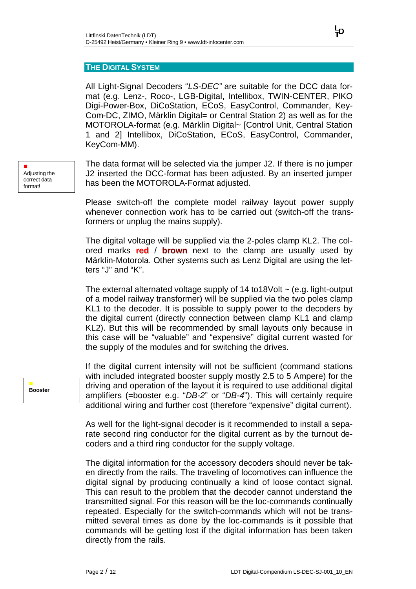#### **THE DIGITAL SYSTEM**

All Light-Signal Decoders "*LS-DEC"* are suitable for the DCC data format (e.g. Lenz-, Roco-, LGB-Digital, Intellibox, TWIN-CENTER, PIKO Digi-Power-Box, DiCoStation, ECoS, EasyControl, Commander, Key-Com-DC, ZIMO, Märklin Digital= or Central Station 2) as well as for the MOTOROLA-format (e.g. Märklin Digital~ [Control Unit, Central Station 1 and 2] Intellibox, DiCoStation, ECoS, EasyControl, Commander, KeyCom-MM).

The data format will be selected via the jumper J2. If there is no jumper J2 inserted the DCC-format has been adjusted. By an inserted jumper has been the MOTOROLA-Format adjusted.

Please switch-off the complete model railway layout power supply whenever connection work has to be carried out (switch-off the transformers or unplug the mains supply).

The digital voltage will be supplied via the 2-poles clamp KL2. The colored marks **red** / **brown** next to the clamp are usually used by Märklin-Motorola. Other systems such as Lenz Digital are using the letters "J" and "K".

The external alternated voltage supply of  $14$  to  $18$ Volt  $\sim$  (e.g. light-output of a model railway transformer) will be supplied via the two poles clamp KL1 to the decoder. It is possible to supply power to the decoders by the digital current (directly connection between clamp KL1 and clamp KL2). But this will be recommended by small layouts only because in this case will be "valuable" and "expensive" digital current wasted for the supply of the modules and for switching the drives.

If the digital current intensity will not be sufficient (command stations with included integrated booster supply mostly 2.5 to 5 Ampere) for the driving and operation of the layout it is required to use additional digital amplifiers (=booster e.g. "*DB-2*" or "*DB-4*"). This will certainly require additional wiring and further cost (therefore "expensive" digital current).

As well for the light-signal decoder is it recommended to install a separate second ring conductor for the digital current as by the turnout decoders and a third ring conductor for the supply voltage.

The digital information for the accessory decoders should never be taken directly from the rails. The traveling of locomotives can influence the digital signal by producing continually a kind of loose contact signal. This can result to the problem that the decoder cannot understand the transmitted signal. For this reason will be the loc-commands continually repeated. Especially for the switch-commands which will not be transmitted several times as done by the loc-commands is it possible that commands will be getting lost if the digital information has been taken directly from the rails.

n Adjusting the correct data format!

> n **Booster**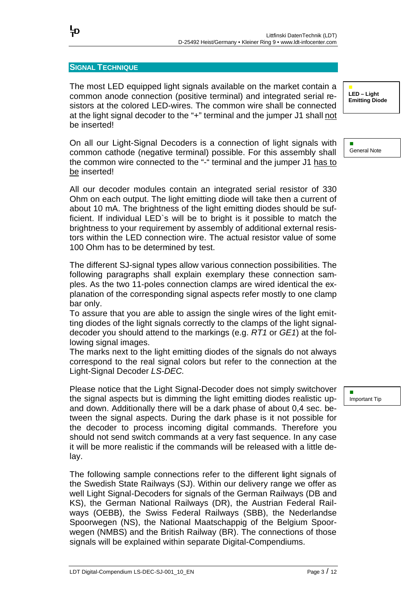#### **SIGNAL TECHNIQUE**

١Đ

The most LED equipped light signals available on the market contain a common anode connection (positive terminal) and integrated serial resistors at the colored LED-wires. The common wire shall be connected at the light signal decoder to the "+" terminal and the jumper J1 shall not be inserted!

On all our Light-Signal Decoders is a connection of light signals with common cathode (negative terminal) possible. For this assembly shall the common wire connected to the "-" terminal and the jumper J1 has to be inserted!

All our decoder modules contain an integrated serial resistor of 330 Ohm on each output. The light emitting diode will take then a current of about 10 mA. The brightness of the light emitting diodes should be sufficient. If individual LED`s will be to bright is it possible to match the brightness to your requirement by assembly of additional external resistors within the LED connection wire. The actual resistor value of some 100 Ohm has to be determined by test.

The different SJ-signal types allow various connection possibilities. The following paragraphs shall explain exemplary these connection samples. As the two 11-poles connection clamps are wired identical the explanation of the corresponding signal aspects refer mostly to one clamp bar only.

To assure that you are able to assign the single wires of the light emitting diodes of the light signals correctly to the clamps of the light signaldecoder you should attend to the markings (e.g. *RT1* or *GE1*) at the following signal images.

The marks next to the light emitting diodes of the signals do not always correspond to the real signal colors but refer to the connection at the Light-Signal Decoder *LS-DEC.*

Please notice that the Light Signal-Decoder does not simply switchover the signal aspects but is dimming the light emitting diodes realistic upand down. Additionally there will be a dark phase of about 0,4 sec. between the signal aspects. During the dark phase is it not possible for the decoder to process incoming digital commands. Therefore you should not send switch commands at a very fast sequence. In any case it will be more realistic if the commands will be released with a little delay.

The following sample connections refer to the different light signals of the Swedish State Railways (SJ). Within our delivery range we offer as well Light Signal-Decoders for signals of the German Railways (DB and KS), the German National Railways (DR), the Austrian Federal Railways (OEBB), the Swiss Federal Railways (SBB), the Nederlandse Spoorwegen (NS), the National Maatschappig of the Belgium Spoorwegen (NMBS) and the British Railway (BR). The connections of those signals will be explained within separate Digital-Compendiums.

n **LED – Light Emitting Diode**

n General Note

Important Tip

n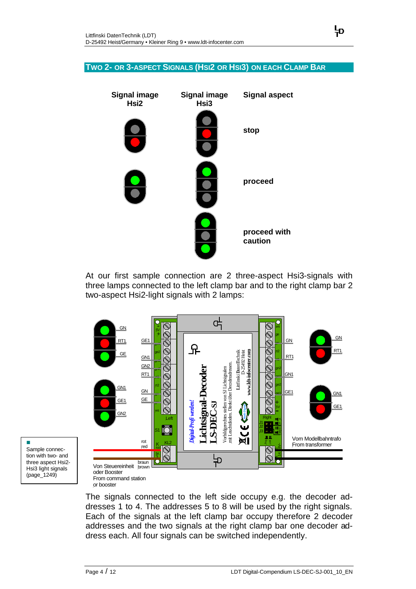#### **TWO 2- OR 3-ASPECT SIGNALS (HSI2 OR HSI3) ON EACH CLAMP BAR**



At our first sample connection are 2 three-aspect Hsi3-signals with three lamps connected to the left clamp bar and to the right clamp bar 2 two-aspect Hsi2-light signals with 2 lamps:



n Sample connection with two- and three aspect Hsi2- Hsi3 light signals (page\_1249)

> The signals connected to the left side occupy e.g. the decoder addresses 1 to 4. The addresses 5 to 8 will be used by the right signals. Each of the signals at the left clamp bar occupy therefore 2 decoder addresses and the two signals at the right clamp bar one decoder address each. All four signals can be switched independently.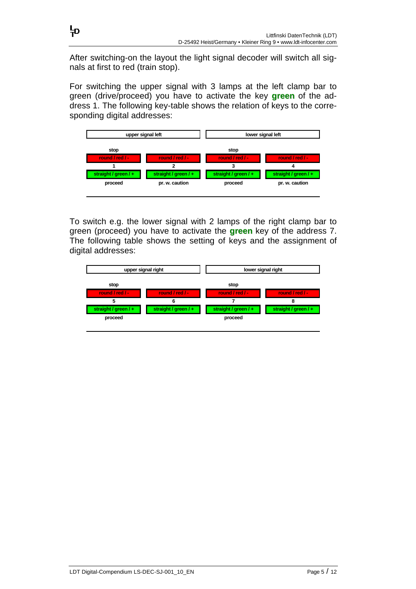After switching-on the layout the light signal decoder will switch all signals at first to red (train stop).

누

For switching the upper signal with 3 lamps at the left clamp bar to green (drive/proceed) you have to activate the key **green** of the address 1. The following key-table shows the relation of keys to the corresponding digital addresses:



To switch e.g. the lower signal with 2 lamps of the right clamp bar to green (proceed) you have to activate the **green** key of the address 7. The following table shows the setting of keys and the assignment of digital addresses:

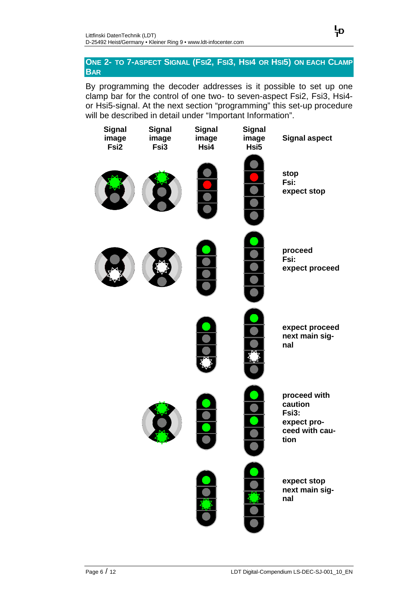### **ONE 2- TO 7-ASPECT SIGNAL (FSI2, FSI3, HSI4 OR HSI5) ON EACH CLAMP BAR**

누

By programming the decoder addresses is it possible to set up one clamp bar for the control of one two- to seven-aspect Fsi2, Fsi3, Hsi4 or Hsi5-signal. At the next section "programming" this set-up procedure will be described in detail under "Important Information".

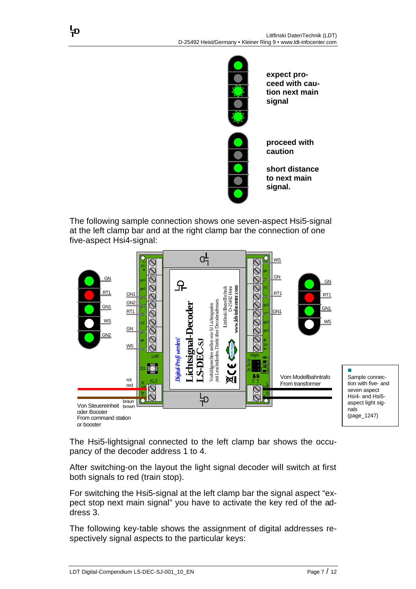

**expect proceed with caution next main signal** 

**proceed with caution** 

**short distance to next main signal.**

The following sample connection shows one seven-aspect Hsi5-signal at the left clamp bar and at the right clamp bar the connection of one five-aspect Hsi4-signal:



The Hsi5-lightsignal connected to the left clamp bar shows the occupancy of the decoder address 1 to 4.

After switching-on the layout the light signal decoder will switch at first both signals to red (train stop).

For switching the Hsi5-signal at the left clamp bar the signal aspect "expect stop next main signal" you have to activate the key red of the address 3.

The following key-table shows the assignment of digital addresses respectively signal aspects to the particular keys:

꾸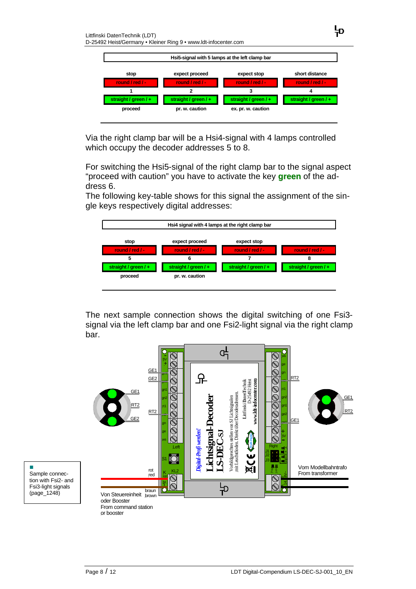

뉴

Via the right clamp bar will be a Hsi4-signal with 4 lamps controlled which occupy the decoder addresses 5 to 8.

For switching the Hsi5-signal of the right clamp bar to the signal aspect "proceed with caution" you have to activate the key **green** of the address 6.

The following key-table shows for this signal the assignment of the single keys respectively digital addresses:



The next sample connection shows the digital switching of one Fsi3 signal via the left clamp bar and one Fsi2-light signal via the right clamp bar.



n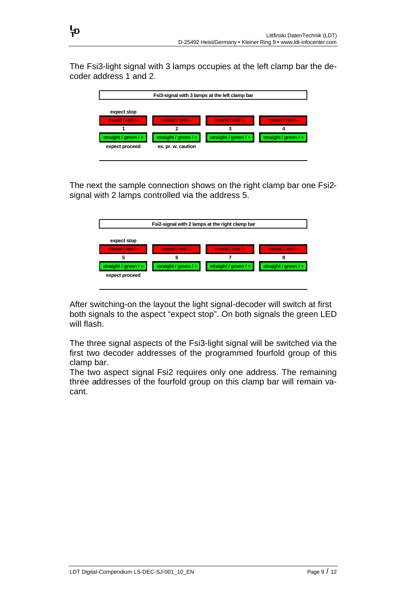The Fsi3-light signal with 3 lamps occupies at the left clamp bar the decoder address 1 and 2.

| Fsi3-signal with 3 lamps at the left clamp bar                             |                                                                 |                                           |                                           |  |  |
|----------------------------------------------------------------------------|-----------------------------------------------------------------|-------------------------------------------|-------------------------------------------|--|--|
| expect stop<br>round / red / -<br>straight / green $/ +$<br>expect proceed | round / red / -<br>straight / green $/ +$<br>ex. pr. w. caution | round / red / -<br>straight / green $/ +$ | round / red / -<br>straight / green / $+$ |  |  |

The next the sample connection shows on the right clamp bar one Fsi2 signal with 2 lamps controlled via the address 5.

| Fsi2-signal with 2 lamps at the right clamp bar                               |                                           |                                           |                                           |  |  |
|-------------------------------------------------------------------------------|-------------------------------------------|-------------------------------------------|-------------------------------------------|--|--|
| expect stop<br>round / red / -<br>5<br>straight / green / +<br>expect proceed | round / red / -<br>straight / green $/ +$ | round / red / -<br>straight / green $/ +$ | round / red / -<br>straight / $green$ / + |  |  |

After switching-on the layout the light signal-decoder will switch at first both signals to the aspect "expect stop". On both signals the green LED will flash.

The three signal aspects of the Fsi3-light signal will be switched via the first two decoder addresses of the programmed fourfold group of this clamp bar.

The two aspect signal Fsi2 requires only one address. The remaining three addresses of the fourfold group on this clamp bar will remain vacant.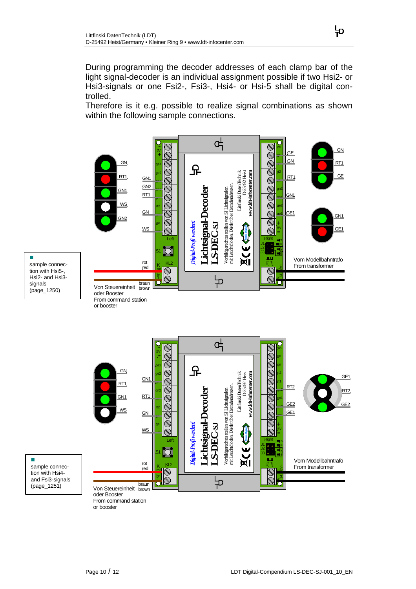During programming the decoder addresses of each clamp bar of the light signal-decoder is an individual assignment possible if two Hsi2- or Hsi3-signals or one Fsi2-, Fsi3-, Hsi4- or Hsi-5 shall be digital controlled.

Therefore is it e.g. possible to realize signal combinations as shown within the following sample connections.





n



or booster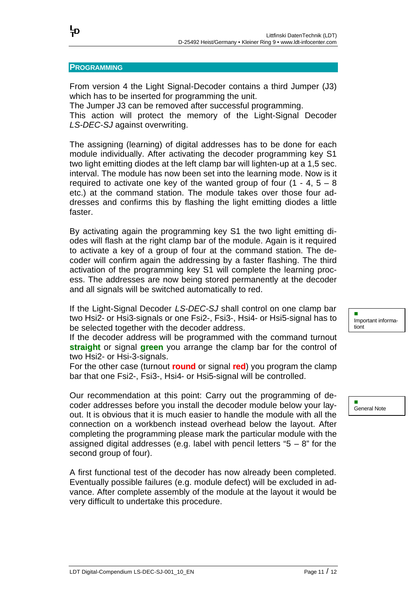#### **PROGRAMMING**

뉴

From version 4 the Light Signal-Decoder contains a third Jumper (J3) which has to be inserted for programming the unit.

The Jumper J3 can be removed after successful programming.

This action will protect the memory of the Light-Signal Decoder *LS-DEC-SJ* against overwriting.

The assigning (learning) of digital addresses has to be done for each module individually. After activating the decoder programming key S1 two light emitting diodes at the left clamp bar will lighten-up at a 1,5 sec. interval. The module has now been set into the learning mode. Now is it required to activate one key of the wanted group of four  $(1 - 4, 5 - 8)$ etc.) at the command station. The module takes over those four addresses and confirms this by flashing the light emitting diodes a little faster.

By activating again the programming key S1 the two light emitting diodes will flash at the right clamp bar of the module. Again is it required to activate a key of a group of four at the command station. The decoder will confirm again the addressing by a faster flashing. The third activation of the programming key S1 will complete the learning process. The addresses are now being stored permanently at the decoder and all signals will be switched automatically to red.

If the Light-Signal Decoder *LS-DEC-SJ* shall control on one clamp bar two Hsi2- or Hsi3-signals or one Fsi2-, Fsi3-, Hsi4- or Hsi5-signal has to be selected together with the decoder address.

If the decoder address will be programmed with the command turnout **straight** or signal **green** you arrange the clamp bar for the control of two Hsi2- or Hsi-3-signals.

For the other case (turnout **round** or signal **red**) you program the clamp bar that one Fsi2-, Fsi3-, Hsi4- or Hsi5-signal will be controlled.

Our recommendation at this point: Carry out the programming of decoder addresses before you install the decoder module below your layout. It is obvious that it is much easier to handle the module with all the connection on a workbench instead overhead below the layout. After completing the programming please mark the particular module with the assigned digital addresses (e.g. label with pencil letters " $5 - 8$ " for the second group of four).

A first functional test of the decoder has now already been completed. Eventually possible failures (e.g. module defect) will be excluded in advance. After complete assembly of the module at the layout it would be very difficult to undertake this procedure.

n Important informationt

n General Note